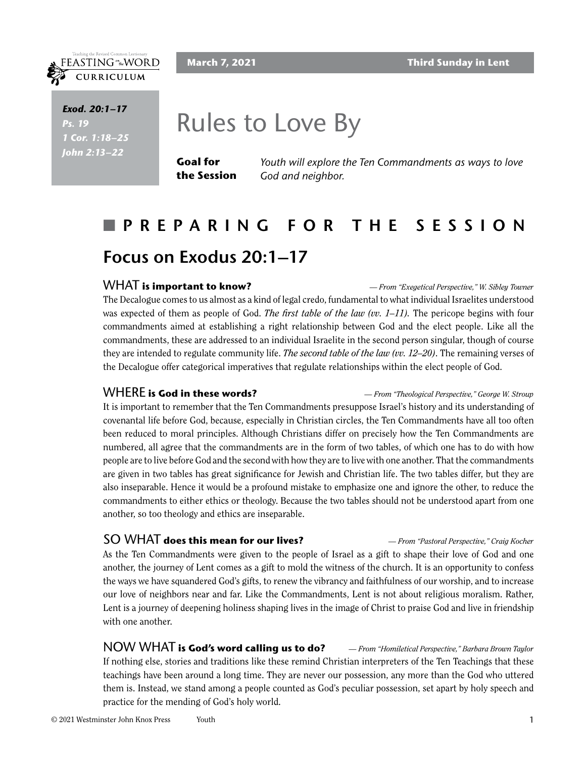#### **March 7, 2021 Third Sunday in Lent**



*Scripture Exod. 20:1–17 Ps.* 19 *Scripture 1 Cor. 1:18–25 Scripture John 2:13–22*

# Rules to Love By

**Goal for the Session** *Youth will explore the Ten Commandments as ways to love God and neighbor.*

# n **PREPARING FOR THE SESSION Focus on Exodus 20:1–17**

#### WHAT **is important to know?** *— From "Exegetical Perspective," W. Sibley Towner*

The Decalogue comes to us almost as a kind of legal credo, fundamental to what individual Israelites understood was expected of them as people of God. *The first table of the law (vv. 1–11).* The pericope begins with four commandments aimed at establishing a right relationship between God and the elect people. Like all the commandments, these are addressed to an individual Israelite in the second person singular, though of course they are intended to regulate community life. *The second table of the law (vv. 12–20)*. The remaining verses of the Decalogue offer categorical imperatives that regulate relationships within the elect people of God.

WHERE **is God in these words?** *— From "Theological Perspective," George W. Stroup*

It is important to remember that the Ten Commandments presuppose Israel's history and its understanding of covenantal life before God, because, especially in Christian circles, the Ten Commandments have all too often been reduced to moral principles. Although Christians differ on precisely how the Ten Commandments are numbered, all agree that the commandments are in the form of two tables, of which one has to do with how people are to live before God and the second with how they are to live with one another. That the commandments are given in two tables has great significance for Jewish and Christian life. The two tables differ, but they are also inseparable. Hence it would be a profound mistake to emphasize one and ignore the other, to reduce the commandments to either ethics or theology. Because the two tables should not be understood apart from one another, so too theology and ethics are inseparable.

#### SO WHAT **does this mean for our lives?** *— From "Pastoral Perspective," Craig Kocher*

As the Ten Commandments were given to the people of Israel as a gift to shape their love of God and one another, the journey of Lent comes as a gift to mold the witness of the church. It is an opportunity to confess the ways we have squandered God's gifts, to renew the vibrancy and faithfulness of our worship, and to increase our love of neighbors near and far. Like the Commandments, Lent is not about religious moralism. Rather, Lent is a journey of deepening holiness shaping lives in the image of Christ to praise God and live in friendship with one another.

NOW WHAT **is God's word calling us to do?** *— From "Homiletical Perspective," Barbara Brown Taylor* If nothing else, stories and traditions like these remind Christian interpreters of the Ten Teachings that these teachings have been around a long time. They are never our possession, any more than the God who uttered them is. Instead, we stand among a people counted as God's peculiar possession, set apart by holy speech and practice for the mending of God's holy world.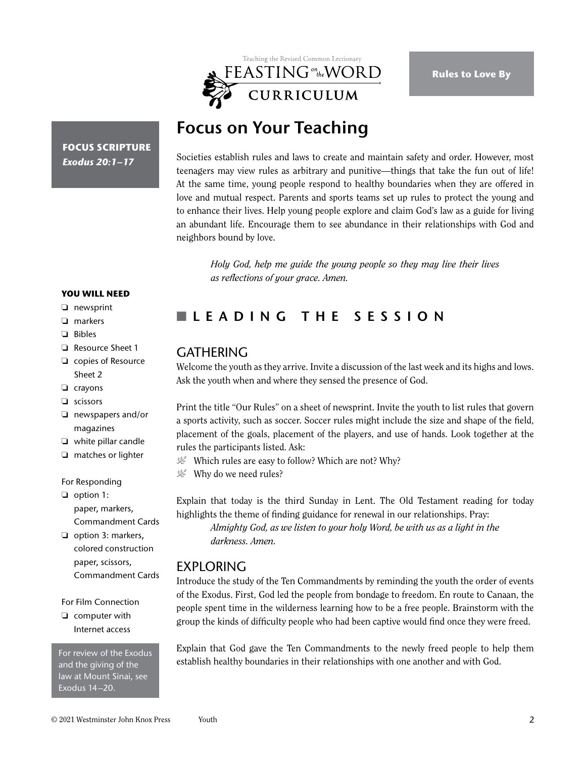

# **Focus on Your Teaching**

**FOCUS SCRIPTURE** *Exodus 20:1–17*

Societies establish rules and laws to create and maintain safety and order. However, most teenagers may view rules as arbitrary and punitive—things that take the fun out of life! At the same time, young people respond to healthy boundaries when they are offered in love and mutual respect. Parents and sports teams set up rules to protect the young and to enhance their lives. Help young people explore and claim God's law as a guide for living an abundant life. Encourage them to see abundance in their relationships with God and neighbors bound by love.

*Holy God, help me guide the young people so they may live their lives as reflections of your grace. Amen.*

#### **YOU WILL NEED**

- ❏ newsprint
- ❏ markers
- ❏ Bibles
- ❏ Resource Sheet 1
- ❏ copies of Resource Sheet 2
- ❏ crayons
- ❏ scissors
- ❏ newspapers and/or magazines
- ❏ white pillar candle
- ❏ matches or lighter

For Responding

❏ option 1: paper, markers, Commandment Cards

❏ option 3: markers, colored construction paper, scissors, Commandment Cards

For Film Connection

❏ computer with Internet access

For review of the Exodus and the giving of the law at Mount Sinai, see Exodus 14–20.

## n **LEADING THE SESSION**

#### **GATHERING**

Welcome the youth as they arrive. Invite a discussion of the last week and its highs and lows. Ask the youth when and where they sensed the presence of God.

Print the title "Our Rules" on a sheet of newsprint. Invite the youth to list rules that govern a sports activity, such as soccer. Soccer rules might include the size and shape of the field, placement of the goals, placement of the players, and use of hands. Look together at the rules the participants listed. Ask:

- $\mathcal{L}$  Which rules are easy to follow? Which are not? Why?
- $\mathcal{L}$  Why do we need rules?

Explain that today is the third Sunday in Lent. The Old Testament reading for today highlights the theme of finding guidance for renewal in our relationships. Pray:

*Almighty God, as we listen to your holy Word, be with us as a light in the darkness. Amen.*

### EXPLORING

Introduce the study of the Ten Commandments by reminding the youth the order of events of the Exodus. First, God led the people from bondage to freedom. En route to Canaan, the people spent time in the wilderness learning how to be a free people. Brainstorm with the group the kinds of difficulty people who had been captive would find once they were freed.

Explain that God gave the Ten Commandments to the newly freed people to help them establish healthy boundaries in their relationships with one another and with God.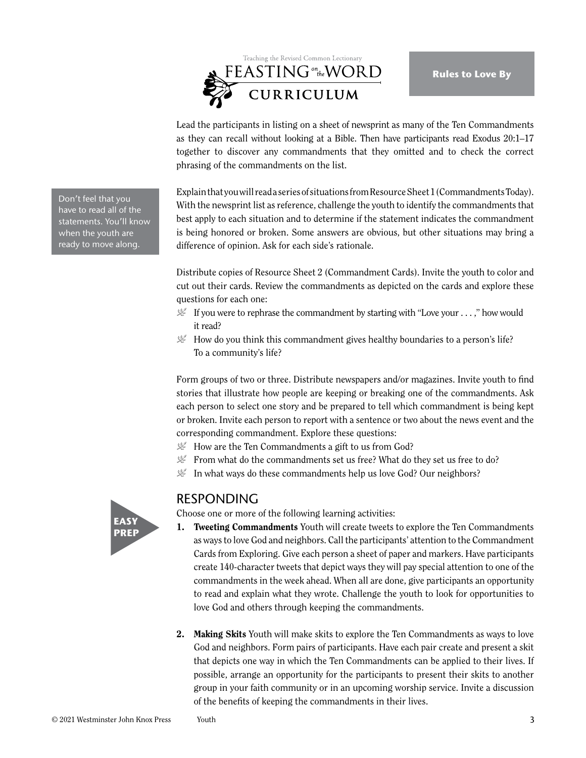

Lead the participants in listing on a sheet of newsprint as many of the Ten Commandments as they can recall without looking at a Bible. Then have participants read Exodus 20:1–17 together to discover any commandments that they omitted and to check the correct phrasing of the commandments on the list.

Explain that you will read a series of situations from Resource Sheet 1 (Commandments Today). With the newsprint list as reference, challenge the youth to identify the commandments that best apply to each situation and to determine if the statement indicates the commandment is being honored or broken. Some answers are obvious, but other situations may bring a difference of opinion. Ask for each side's rationale.

Distribute copies of Resource Sheet 2 (Commandment Cards). Invite the youth to color and cut out their cards. Review the commandments as depicted on the cards and explore these questions for each one:

- $\mathcal{L}$  If you were to rephrase the commandment by starting with "Love your . . . ," how would it read?
- $\mathcal{L}$  How do you think this commandment gives healthy boundaries to a person's life? To a community's life?

Form groups of two or three. Distribute newspapers and/or magazines. Invite youth to find stories that illustrate how people are keeping or breaking one of the commandments. Ask each person to select one story and be prepared to tell which commandment is being kept or broken. Invite each person to report with a sentence or two about the news event and the corresponding commandment. Explore these questions:

- $\mathcal{L}$  How are the Ten Commandments a gift to us from God?
- From what do the commandments set us free? What do they set us free to do?
- $\mathcal{L}$  In what ways do these commandments help us love God? Our neighbors?

### RESPONDING

Choose one or more of the following learning activities:

- 1. Tweeting Commandments Youth will create tweets to explore the Ten Commandments as ways to love God and neighbors. Call the participants' attention to the Commandment Cards from Exploring. Give each person a sheet of paper and markers. Have participants create 140-character tweets that depict ways they will pay special attention to one of the commandments in the week ahead. When all are done, give participants an opportunity to read and explain what they wrote. Challenge the youth to look for opportunities to love God and others through keeping the commandments.
- 2. Making Skits Youth will make skits to explore the Ten Commandments as ways to love God and neighbors. Form pairs of participants. Have each pair create and present a skit that depicts one way in which the Ten Commandments can be applied to their lives. If possible, arrange an opportunity for the participants to present their skits to another group in your faith community or in an upcoming worship service. Invite a discussion of the benefits of keeping the commandments in their lives.

Don't feel that you have to read all of the statements. You'll know when the youth are ready to move along.

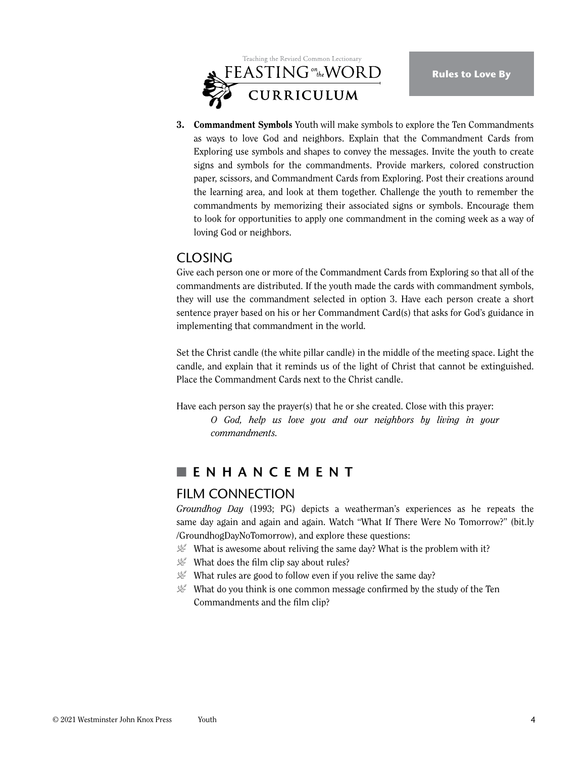

3. Commandment Symbols Youth will make symbols to explore the Ten Commandments as ways to love God and neighbors. Explain that the Commandment Cards from Exploring use symbols and shapes to convey the messages. Invite the youth to create signs and symbols for the commandments. Provide markers, colored construction paper, scissors, and Commandment Cards from Exploring. Post their creations around the learning area, and look at them together. Challenge the youth to remember the commandments by memorizing their associated signs or symbols. Encourage them to look for opportunities to apply one commandment in the coming week as a way of loving God or neighbors.

#### CLOSING

Give each person one or more of the Commandment Cards from Exploring so that all of the commandments are distributed. If the youth made the cards with commandment symbols, they will use the commandment selected in option 3. Have each person create a short sentence prayer based on his or her Commandment Card(s) that asks for God's guidance in implementing that commandment in the world.

Set the Christ candle (the white pillar candle) in the middle of the meeting space. Light the candle, and explain that it reminds us of the light of Christ that cannot be extinguished. Place the Commandment Cards next to the Christ candle.

Have each person say the prayer(s) that he or she created. Close with this prayer:

*O God, help us love you and our neighbors by living in your commandments.*

### **NENHANCEMENT**

#### FILM CONNECTION

*Groundhog Day* (1993; PG) depicts a weatherman's experiences as he repeats the same day again and again and again. Watch "What If There Were No Tomorrow?" (bit.ly /GroundhogDayNoTomorrow), and explore these questions:

- What is awesome about reliving the same day? What is the problem with it?
- $\mathcal{L}$  What does the film clip say about rules?
- $\mathcal{L}$  What rules are good to follow even if you relive the same day?
- $\mathcal{L}$  What do you think is one common message confirmed by the study of the Ten Commandments and the film clip?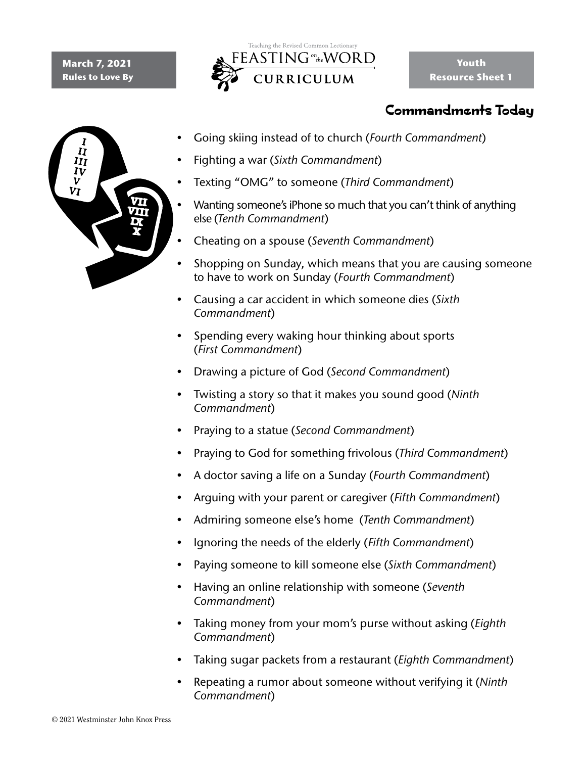#### **March 7, 2021 Rules to Love By**



# Commandments Today



- Going skiing instead of to church (*Fourth Commandment*)
- Fighting a war (*Sixth Commandment*)
- Texting "OMG" to someone (*Third Commandment*)
- Wanting someone's iPhone so much that you can't think of anything else (*Tenth Commandment*)
- Cheating on a spouse (*Seventh Commandment*)
- Shopping on Sunday, which means that you are causing someone to have to work on Sunday (*Fourth Commandment*)
- Causing a car accident in which someone dies (*Sixth Commandment*)
- Spending every waking hour thinking about sports (*First Commandment*)
- Drawing a picture of God (*Second Commandment*)
- Twisting a story so that it makes you sound good (*Ninth Commandment*)
- Praying to a statue (*Second Commandment*)
- Praying to God for something frivolous (*Third Commandment*)
- A doctor saving a life on a Sunday (*Fourth Commandment*)
- Arguing with your parent or caregiver (*Fifth Commandment*)
- Admiring someone else's home (*Tenth Commandment*)
- Ignoring the needs of the elderly (*Fifth Commandment*)
- Paying someone to kill someone else (*Sixth Commandment*)
- Having an online relationship with someone (*Seventh Commandment*)
- Taking money from your mom's purse without asking (*Eighth Commandment*)
- Taking sugar packets from a restaurant (*Eighth Commandment*)
- Repeating a rumor about someone without verifying it (*Ninth Commandment*)